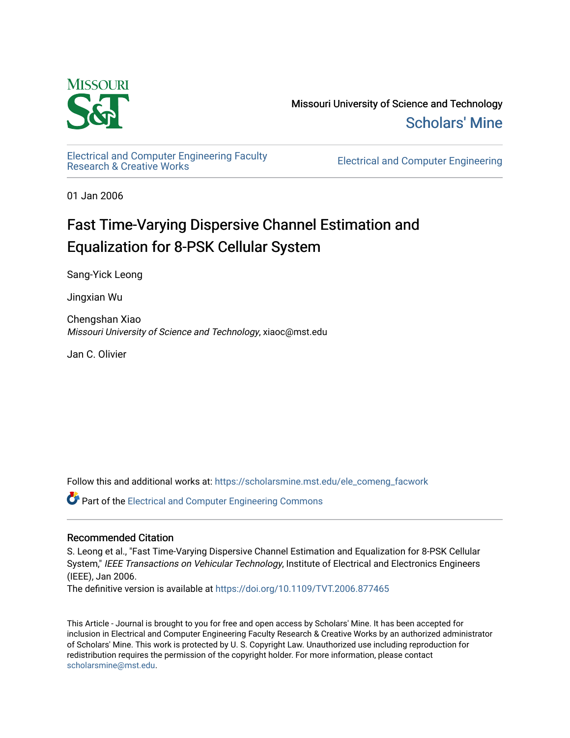

Missouri University of Science and Technology [Scholars' Mine](https://scholarsmine.mst.edu/) 

[Electrical and Computer Engineering Faculty](https://scholarsmine.mst.edu/ele_comeng_facwork)<br>Research & Creative Works

**Electrical and Computer Engineering** 

01 Jan 2006

## Fast Time-Varying Dispersive Channel Estimation and Equalization for 8-PSK Cellular System

Sang-Yick Leong

Jingxian Wu

Chengshan Xiao Missouri University of Science and Technology, xiaoc@mst.edu

Jan C. Olivier

Follow this and additional works at: [https://scholarsmine.mst.edu/ele\\_comeng\\_facwork](https://scholarsmine.mst.edu/ele_comeng_facwork?utm_source=scholarsmine.mst.edu%2Fele_comeng_facwork%2F1043&utm_medium=PDF&utm_campaign=PDFCoverPages)

**C** Part of the Electrical and Computer Engineering Commons

### Recommended Citation

S. Leong et al., "Fast Time-Varying Dispersive Channel Estimation and Equalization for 8-PSK Cellular System," IEEE Transactions on Vehicular Technology, Institute of Electrical and Electronics Engineers (IEEE), Jan 2006.

The definitive version is available at <https://doi.org/10.1109/TVT.2006.877465>

This Article - Journal is brought to you for free and open access by Scholars' Mine. It has been accepted for inclusion in Electrical and Computer Engineering Faculty Research & Creative Works by an authorized administrator of Scholars' Mine. This work is protected by U. S. Copyright Law. Unauthorized use including reproduction for redistribution requires the permission of the copyright holder. For more information, please contact [scholarsmine@mst.edu.](mailto:scholarsmine@mst.edu)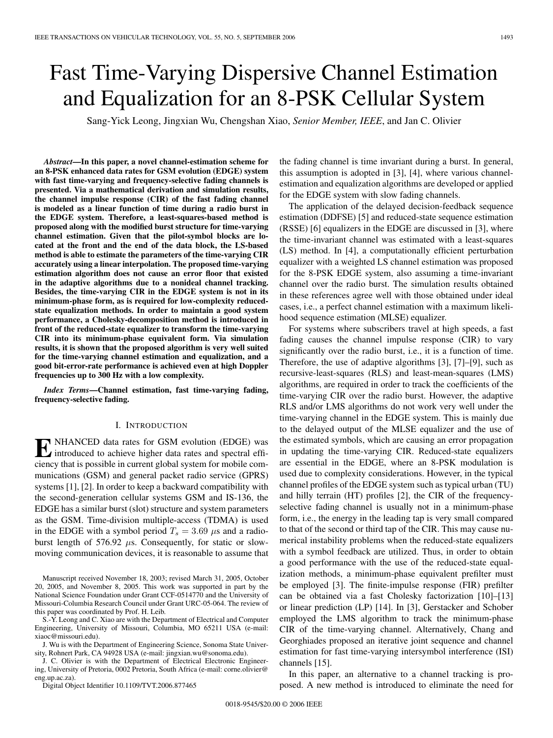# Fast Time-Varying Dispersive Channel Estimation and Equalization for an 8-PSK Cellular System

Sang-Yick Leong, Jingxian Wu, Chengshan Xiao, *Senior Member, IEEE*, and Jan C. Olivier

*Abstract***—In this paper, a novel channel-estimation scheme for an 8-PSK enhanced data rates for GSM evolution (EDGE) system with fast time-varying and frequency-selective fading channels is presented. Via a mathematical derivation and simulation results, the channel impulse response (CIR) of the fast fading channel is modeled as a linear function of time during a radio burst in the EDGE system. Therefore, a least-squares-based method is proposed along with the modified burst structure for time-varying channel estimation. Given that the pilot-symbol blocks are located at the front and the end of the data block, the LS-based method is able to estimate the parameters of the time-varying CIR accurately using a linear interpolation. The proposed time-varying estimation algorithm does not cause an error floor that existed in the adaptive algorithms due to a nonideal channel tracking. Besides, the time-varying CIR in the EDGE system is not in its minimum-phase form, as is required for low-complexity reducedstate equalization methods. In order to maintain a good system performance, a Cholesky-decomposition method is introduced in front of the reduced-state equalizer to transform the time-varying CIR into its minimum-phase equivalent form. Via simulation results, it is shown that the proposed algorithm is very well suited for the time-varying channel estimation and equalization, and a good bit-error-rate performance is achieved even at high Doppler frequencies up to 300 Hz with a low complexity.**

*Index Terms***—Channel estimation, fast time-varying fading, frequency-selective fading.**

#### I. INTRODUCTION

**E** NHANCED data rates for GSM evolution (EDGE) was introduced to achieve higher data rates and spectral efficiency that is possible in current global system for mobile communications (GSM) and general packet radio service (GPRS) systems [1], [2]. In order to keep a backward compatibility with the second-generation cellular systems GSM and IS-136, the EDGE has a similar burst (slot) structure and system parameters as the GSM. Time-division multiple-access (TDMA) is used in the EDGE with a symbol period  $T_s = 3.69 \mu s$  and a radioburst length of 576.92  $\mu$ s. Consequently, for static or slowmoving communication devices, it is reasonable to assume that

Manuscript received November 18, 2003; revised March 31, 2005, October 20, 2005, and November 8, 2005. This work was supported in part by the National Science Foundation under Grant CCF-0514770 and the University of Missouri-Columbia Research Council under Grant URC-05-064. The review of this paper was coordinated by Prof. H. Leib.

S.-Y. Leong and C. Xiao are with the Department of Electrical and Computer Engineering, University of Missouri, Columbia, MO 65211 USA (e-mail: xiaoc@missouri.edu).

J. Wu is with the Department of Engineering Science, Sonoma State University, Rohnert Park, CA 94928 USA (e-mail: jingxian.wu@sonoma.edu).

J. C. Olivier is with the Department of Electrical Electronic Engineering, University of Pretoria, 0002 Pretoria, South Africa (e-mail: corne.olivier@ eng.up.ac.za).

Digital Object Identifier 10.1109/TVT.2006.877465

the fading channel is time invariant during a burst. In general, this assumption is adopted in [3], [4], where various channelestimation and equalization algorithms are developed or applied for the EDGE system with slow fading channels.

The application of the delayed decision-feedback sequence estimation (DDFSE) [5] and reduced-state sequence estimation (RSSE) [6] equalizers in the EDGE are discussed in [3], where the time-invariant channel was estimated with a least-squares (LS) method. In [4], a computationally efficient perturbation equalizer with a weighted LS channel estimation was proposed for the 8-PSK EDGE system, also assuming a time-invariant channel over the radio burst. The simulation results obtained in these references agree well with those obtained under ideal cases, i.e., a perfect channel estimation with a maximum likelihood sequence estimation (MLSE) equalizer.

For systems where subscribers travel at high speeds, a fast fading causes the channel impulse response (CIR) to vary significantly over the radio burst, i.e., it is a function of time. Therefore, the use of adaptive algorithms [3], [7]–[9], such as recursive-least-squares (RLS) and least-mean-squares (LMS) algorithms, are required in order to track the coefficients of the time-varying CIR over the radio burst. However, the adaptive RLS and/or LMS algorithms do not work very well under the time-varying channel in the EDGE system. This is mainly due to the delayed output of the MLSE equalizer and the use of the estimated symbols, which are causing an error propagation in updating the time-varying CIR. Reduced-state equalizers are essential in the EDGE, where an 8-PSK modulation is used due to complexity considerations. However, in the typical channel profiles of the EDGE system such as typical urban (TU) and hilly terrain (HT) profiles [2], the CIR of the frequencyselective fading channel is usually not in a minimum-phase form, i.e., the energy in the leading tap is very small compared to that of the second or third tap of the CIR. This may cause numerical instability problems when the reduced-state equalizers with a symbol feedback are utilized. Thus, in order to obtain a good performance with the use of the reduced-state equalization methods, a minimum-phase equivalent prefilter must be employed [3]. The finite-impulse response (FIR) prefilter can be obtained via a fast Cholesky factorization [10]–[13] or linear prediction (LP) [14]. In [3], Gerstacker and Schober employed the LMS algorithm to track the minimum-phase CIR of the time-varying channel. Alternatively, Chang and Georghiades proposed an iterative joint sequence and channel estimation for fast time-varying intersymbol interference (ISI) channels [15].

In this paper, an alternative to a channel tracking is proposed. A new method is introduced to eliminate the need for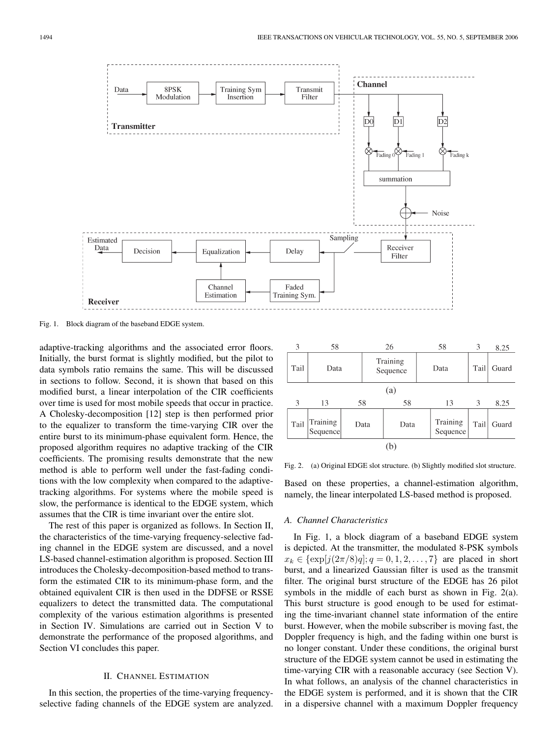

Fig. 1. Block diagram of the baseband EDGE system.

adaptive-tracking algorithms and the associated error floors. Initially, the burst format is slightly modified, but the pilot to data symbols ratio remains the same. This will be discussed in sections to follow. Second, it is shown that based on this modified burst, a linear interpolation of the CIR coefficients over time is used for most mobile speeds that occur in practice. A Cholesky-decomposition [12] step is then performed prior to the equalizer to transform the time-varying CIR over the entire burst to its minimum-phase equivalent form. Hence, the proposed algorithm requires no adaptive tracking of the CIR coefficients. The promising results demonstrate that the new method is able to perform well under the fast-fading conditions with the low complexity when compared to the adaptivetracking algorithms. For systems where the mobile speed is slow, the performance is identical to the EDGE system, which assumes that the CIR is time invariant over the entire slot.

The rest of this paper is organized as follows. In Section II, the characteristics of the time-varying frequency-selective fading channel in the EDGE system are discussed, and a novel LS-based channel-estimation algorithm is proposed. Section III introduces the Cholesky-decomposition-based method to transform the estimated CIR to its minimum-phase form, and the obtained equivalent CIR is then used in the DDFSE or RSSE equalizers to detect the transmitted data. The computational complexity of the various estimation algorithms is presented in Section IV. Simulations are carried out in Section V to demonstrate the performance of the proposed algorithms, and Section VI concludes this paper.

#### II. CHANNEL ESTIMATION

In this section, the properties of the time-varying frequencyselective fading channels of the EDGE system are analyzed.

| 3    | 58                   |  | 26                   |      |  | 58                   | 3    | 8.25  |  |
|------|----------------------|--|----------------------|------|--|----------------------|------|-------|--|
| Tail | Data                 |  | Training<br>Sequence |      |  | Data                 | Tail | Guard |  |
| (a)  |                      |  |                      |      |  |                      |      |       |  |
| 3    | 13                   |  | 58                   | 58   |  | 13                   | 3    | 8.25  |  |
| Tail | Training<br>Sequence |  | Data                 | Data |  | Training<br>Sequence | Tail | Guard |  |
|      |                      |  |                      | (b)  |  |                      |      |       |  |

Fig. 2. (a) Original EDGE slot structure. (b) Slightly modified slot structure.

Based on these properties, a channel-estimation algorithm, namely, the linear interpolated LS-based method is proposed.

#### *A. Channel Characteristics*

In Fig. 1, a block diagram of a baseband EDGE system is depicted. At the transmitter, the modulated 8-PSK symbols  $x_k \in {\exp[j(2\pi/8)q]; q = 0, 1, 2, ..., 7}$  are placed in short burst, and a linearized Gaussian filter is used as the transmit filter. The original burst structure of the EDGE has 26 pilot symbols in the middle of each burst as shown in Fig. 2(a). This burst structure is good enough to be used for estimating the time-invariant channel state information of the entire burst. However, when the mobile subscriber is moving fast, the Doppler frequency is high, and the fading within one burst is no longer constant. Under these conditions, the original burst structure of the EDGE system cannot be used in estimating the time-varying CIR with a reasonable accuracy (see Section V). In what follows, an analysis of the channel characteristics in the EDGE system is performed, and it is shown that the CIR in a dispersive channel with a maximum Doppler frequency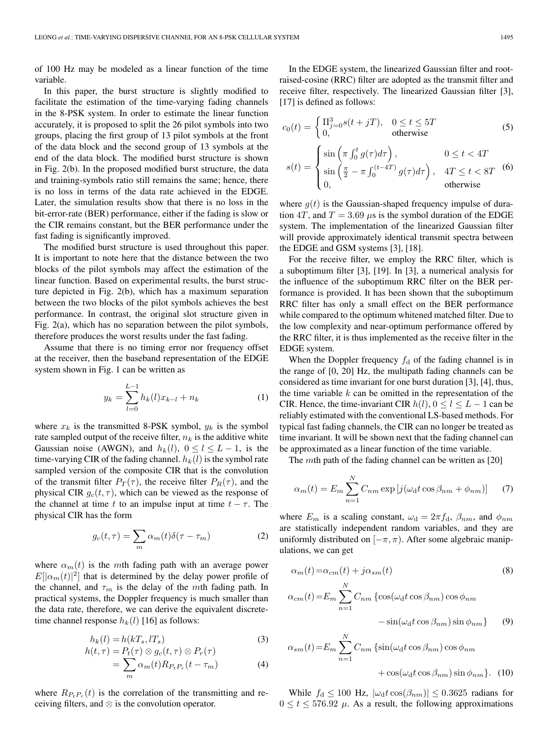of 100 Hz may be modeled as a linear function of the time variable.

In this paper, the burst structure is slightly modified to facilitate the estimation of the time-varying fading channels in the 8-PSK system. In order to estimate the linear function accurately, it is proposed to split the 26 pilot symbols into two groups, placing the first group of 13 pilot symbols at the front of the data block and the second group of 13 symbols at the end of the data block. The modified burst structure is shown in Fig. 2(b). In the proposed modified burst structure, the data and training-symbols ratio still remains the same; hence, there is no loss in terms of the data rate achieved in the EDGE. Later, the simulation results show that there is no loss in the bit-error-rate (BER) performance, either if the fading is slow or the CIR remains constant, but the BER performance under the fast fading is significantly improved.

The modified burst structure is used throughout this paper. It is important to note here that the distance between the two blocks of the pilot symbols may affect the estimation of the linear function. Based on experimental results, the burst structure depicted in Fig. 2(b), which has a maximum separation between the two blocks of the pilot symbols achieves the best performance. In contrast, the original slot structure given in Fig. 2(a), which has no separation between the pilot symbols, therefore produces the worst results under the fast fading.

Assume that there is no timing error nor frequency offset at the receiver, then the baseband representation of the EDGE system shown in Fig. 1 can be written as

$$
y_k = \sum_{l=0}^{L-1} h_k(l)x_{k-l} + n_k
$$
 (1)

where  $x_k$  is the transmitted 8-PSK symbol,  $y_k$  is the symbol rate sampled output of the receive filter,  $n_k$  is the additive white Gaussian noise (AWGN), and  $h_k(l)$ ,  $0 \le l \le L-1$ , is the time-varying CIR of the fading channel.  $h_k(l)$  is the symbol rate sampled version of the composite CIR that is the convolution of the transmit filter  $P_T(\tau)$ , the receive filter  $P_R(\tau)$ , and the physical CIR  $g_c(t, \tau)$ , which can be viewed as the response of the channel at time t to an impulse input at time  $t - \tau$ . The physical CIR has the form

$$
g_c(t,\tau) = \sum_m \alpha_m(t)\delta(\tau - \tau_m)
$$
 (2)

where  $\alpha_m(t)$  is the mth fading path with an average power  $E[|\alpha_m(t)|^2]$  that is determined by the delay power profile of the channel, and  $\tau_m$  is the delay of the mth fading path. In practical systems, the Doppler frequency is much smaller than the data rate, therefore, we can derive the equivalent discretetime channel response  $h_k(l)$  [16] as follows:

$$
h_k(l) = h(kT_s, lT_s)
$$
\n(3)

$$
h(t,\tau) = P_t(\tau) \otimes g_c(t,\tau) \otimes P_r(\tau)
$$
  
= 
$$
\sum_m \alpha_m(t) R_{P_t P_r}(t - \tau_m)
$$
 (4)

where  $R_{P_tP_r}(t)$  is the correlation of the transmitting and receiving filters, and ⊗ is the convolution operator.

In the EDGE system, the linearized Gaussian filter and rootraised-cosine (RRC) filter are adopted as the transmit filter and receive filter, respectively. The linearized Gaussian filter [3], [17] is defined as follows:

$$
c_0(t) = \begin{cases} \Pi_{j=0}^3 s(t+jT), & 0 \le t \le 5T \\ 0, & \text{otherwise} \end{cases}
$$
(5)  

$$
\begin{cases} \sin\left(\pi \int_0^t g(\tau) d\tau \right), & 0 \le t < 4T \end{cases}
$$

$$
s(t) = \begin{cases} \n\sin\left(\pi \int_0^{\pi} g(\tau) d\tau\right), & 0 \le t < 4I \\ \n\sin\left(\frac{\pi}{2} - \pi \int_0^{(t-4T)} g(\tau) d\tau\right), & 4T \le t < 8T \\ \n0, & \text{otherwise} \n\end{cases} \tag{6}
$$

where  $g(t)$  is the Gaussian-shaped frequency impulse of duration 4T, and  $T = 3.69 \mu s$  is the symbol duration of the EDGE system. The implementation of the linearized Gaussian filter will provide approximately identical transmit spectra between the EDGE and GSM systems [3], [18].

For the receive filter, we employ the RRC filter, which is a suboptimum filter [3], [19]. In [3], a numerical analysis for the influence of the suboptimum RRC filter on the BER performance is provided. It has been shown that the suboptimum RRC filter has only a small effect on the BER performance while compared to the optimum whitened matched filter. Due to the low complexity and near-optimum performance offered by the RRC filter, it is thus implemented as the receive filter in the EDGE system.

When the Doppler frequency  $f_d$  of the fading channel is in the range of [0, 20] Hz, the multipath fading channels can be considered as time invariant for one burst duration [3], [4], thus, the time variable  $k$  can be omitted in the representation of the CIR. Hence, the time-invariant CIR  $h(l)$ ,  $0 \le l \le L - 1$  can be reliably estimated with the conventional LS-based methods. For typical fast fading channels, the CIR can no longer be treated as time invariant. It will be shown next that the fading channel can be approximated as a linear function of the time variable.

The mth path of the fading channel can be written as [20]

$$
\alpha_m(t) = E_m \sum_{n=1}^{N} C_{nm} \exp\left[j(\omega_{\rm d}t \cos \beta_{nm} + \phi_{nm})\right] \tag{7}
$$

where  $E_m$  is a scaling constant,  $\omega_d = 2\pi f_d$ ,  $\beta_{nm}$ , and  $\phi_{nm}$ are statistically independent random variables, and they are uniformly distributed on  $[-\pi, \pi)$ . After some algebraic manipulations, we can get

$$
\alpha_m(t) = \alpha_{cm}(t) + j\alpha_{sm}(t) \tag{8}
$$

$$
\alpha_{cm}(t) = E_m \sum_{n=1}^{N} C_{nm} \left\{ \cos(\omega_d t \cos \beta_{nm}) \cos \phi_{nm} -\sin(\omega_d t \cos \beta_{nm}) \sin \phi_{nm} \right\}
$$
(9)

$$
\alpha_{sm}(t) = E_m \sum_{n=1}^{N} C_{nm} \left\{ \sin(\omega_d t \cos \beta_{nm}) \cos \phi_{nm} + \cos(\omega_d t \cos \beta_{nm}) \sin \phi_{nm} \right\}.
$$
 (10)

While  $f_d \le 100$  Hz,  $|\omega_d t \cos(\beta_{nm})| \le 0.3625$  radians for  $0 \le t \le 576.92$   $\mu$ . As a result, the following approximations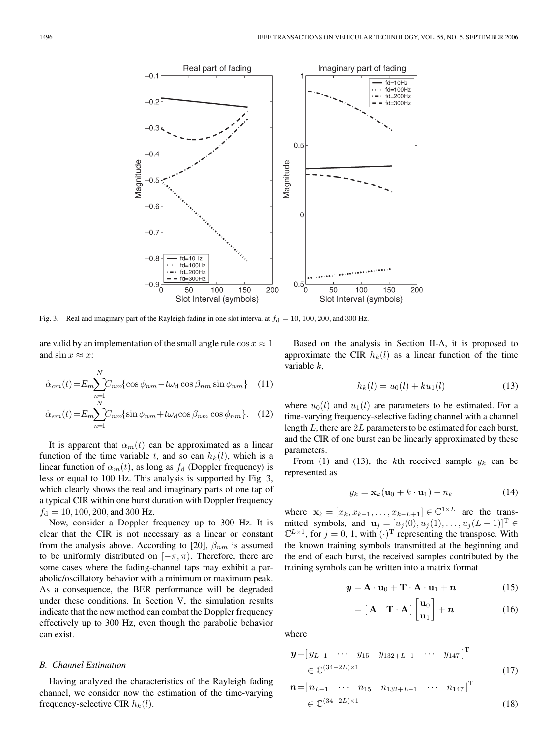

Fig. 3. Real and imaginary part of the Rayleigh fading in one slot interval at  $f_d = 10, 100, 200,$  and 300 Hz.

are valid by an implementation of the small angle rule  $\cos x \approx 1$ and  $\sin x \approx x$ :

$$
\tilde{\alpha}_{cm}(t) = E_m \sum_{n=1}^{N} C_{nm} \{ \cos \phi_{nm} - t \omega_d \cos \beta_{nm} \sin \phi_{nm} \} \quad (11)
$$

$$
\tilde{\alpha}_{sm}(t) = E_m \sum_{n=1}^{N} C_{nm} \{ \sin \phi_{nm} + t \omega_d \cos \beta_{nm} \cos \phi_{nm} \}.
$$
 (12)

It is apparent that  $\alpha_m(t)$  can be approximated as a linear function of the time variable t, and so can  $h_k(l)$ , which is a linear function of  $\alpha_m(t)$ , as long as  $f_d$  (Doppler frequency) is less or equal to 100 Hz. This analysis is supported by Fig. 3, which clearly shows the real and imaginary parts of one tap of a typical CIR within one burst duration with Doppler frequency  $f_d = 10, 100, 200,$  and 300 Hz.

Now, consider a Doppler frequency up to 300 Hz. It is clear that the CIR is not necessary as a linear or constant from the analysis above. According to [20],  $\beta_{nm}$  is assumed to be uniformly distributed on  $[-\pi, \pi)$ . Therefore, there are some cases where the fading-channel taps may exhibit a parabolic/oscillatory behavior with a minimum or maximum peak. As a consequence, the BER performance will be degraded under these conditions. In Section V, the simulation results indicate that the new method can combat the Doppler frequency effectively up to 300 Hz, even though the parabolic behavior can exist.

#### *B. Channel Estimation*

Having analyzed the characteristics of the Rayleigh fading channel, we consider now the estimation of the time-varying frequency-selective CIR  $h_k(l)$ .

Based on the analysis in Section II-A, it is proposed to approximate the CIR  $h_k(l)$  as a linear function of the time variable k,

$$
h_k(l) = u_0(l) + ku_1(l)
$$
\n(13)

where  $u_0(l)$  and  $u_1(l)$  are parameters to be estimated. For a time-varying frequency-selective fading channel with a channel length L, there are 2L parameters to be estimated for each burst, and the CIR of one burst can be linearly approximated by these parameters.

From (1) and (13), the kth received sample  $y_k$  can be represented as

$$
y_k = \mathbf{x}_k(\mathbf{u}_0 + k \cdot \mathbf{u}_1) + n_k \tag{14}
$$

where  $\mathbf{x}_k = [x_k, x_{k-1}, \dots, x_{k-L+1}] \in \mathbb{C}^{1 \times L}$  are the transmitted symbols, and  $\mathbf{u}_j = [u_j(0), u_j(1), \dots, u_j(L-1)]^T \in$  $\mathbb{C}^{L\times 1}$ , for  $j=0, 1$ , with  $(\cdot)^T$  representing the transpose. With the known training symbols transmitted at the beginning and the end of each burst, the received samples contributed by the training symbols can be written into a matrix format

$$
\mathbf{y} = \mathbf{A} \cdot \mathbf{u}_0 + \mathbf{T} \cdot \mathbf{A} \cdot \mathbf{u}_1 + \mathbf{n} \tag{15}
$$

$$
= [\mathbf{A} \quad \mathbf{T} \cdot \mathbf{A}] \begin{bmatrix} \mathbf{u}_0 \\ \mathbf{u}_1 \end{bmatrix} + \mathbf{n} \tag{16}
$$

 $T$ 

where

$$
\mathbf{y} = [y_{L-1} \cdots y_{15} y_{132+L-1} \cdots y_{147}]^{T}
$$
  

$$
\in \mathbb{C}^{(34-2L)\times 1}
$$
 (17)

$$
\mathbf{n} = [n_{L-1} \cdots n_{15} \ n_{132+L-1} \cdots n_{147}]^{\mathrm{T}}
$$
  

$$
\in \mathbb{C}^{(34-2L)\times 1}
$$
 (18)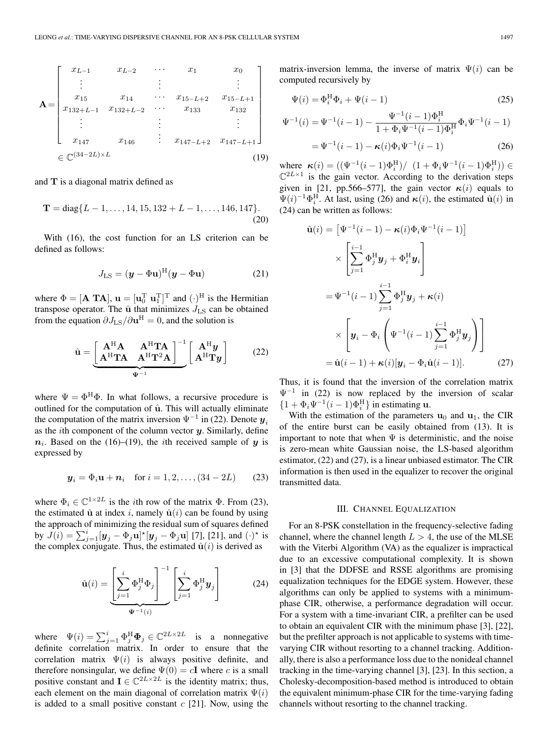$$
\mathbf{A} = \begin{bmatrix} x_{L-1} & x_{L-2} & \cdots & x_1 & x_0 \\ \vdots & \vdots & \ddots & \vdots \\ x_{15} & x_{14} & \cdots & x_{15-L+2} & x_{15-L+1} \\ x_{132+L-1} & x_{132+L-2} & \cdots & x_{133} & x_{132} \\ \vdots & \vdots & \vdots & \vdots \\ x_{147} & x_{146} & \cdots & x_{147-L+2} & x_{147-L+1} \end{bmatrix}
$$
  

$$
\in \mathbb{C}^{(34-2L)\times L}
$$
 (19)

and **T** is a diagonal matrix defined as

$$
\mathbf{T} = \text{diag}\{L-1,\ldots,14,15,132+L-1,\ldots,146,147\}.
$$
\n(20)

With (16), the cost function for an LS criterion can be defined as follows:

$$
J_{\text{LS}} = (\boldsymbol{y} - \boldsymbol{\Phi} \mathbf{u})^{\text{H}} (\boldsymbol{y} - \boldsymbol{\Phi} \mathbf{u}) \tag{21}
$$

where  $\Phi = [\mathbf{A} \ \mathbf{T} \mathbf{A}], \ \mathbf{u} = [\mathbf{u}_0^{\mathrm{T}} \ \mathbf{u}_1^{\mathrm{T}}]^{\mathrm{T}}$  and  $(\cdot)^{\mathrm{H}}$  is the Hermitian transpose operator. The  $\hat{u}$  that minimizes  $J_{LS}$  can be obtained from the equation  $\partial J_{\text{LS}}/\partial \mathbf{u}^{\text{H}} = 0$ , and the solution is

$$
\hat{\mathbf{u}} = \underbrace{\begin{bmatrix} \mathbf{A}^{\mathrm{H}} \mathbf{A} & \mathbf{A}^{\mathrm{H}} \mathbf{T} \mathbf{A} \\ \mathbf{A}^{\mathrm{H}} \mathbf{T} \mathbf{A} & \mathbf{A}^{\mathrm{H}} \mathbf{T}^{2} \mathbf{A} \end{bmatrix}^{-1}}_{\Psi^{-1}} \begin{bmatrix} \mathbf{A}^{\mathrm{H}} \mathbf{y} \\ \mathbf{A}^{\mathrm{H}} \mathbf{T} \mathbf{y} \end{bmatrix}
$$
 (22)

where  $\Psi = \Phi^{\rm H} \Phi$ . In what follows, a recursive procedure is outlined for the computation of  $\hat{u}$ . This will actually eliminate the computation of the matrix inversion  $\Psi^{-1}$  in (22). Denote  $y_i$ as the ith component of the column vector *y*. Similarly, define  $n_i$ . Based on the (16)–(19), the *i*th received sample of *y* is expressed by

$$
y_i = \Phi_i \mathbf{u} + \mathbf{n}_i
$$
 for  $i = 1, 2, ..., (34 - 2L)$  (23)

where  $\Phi_i \in \mathbb{C}^{1 \times 2L}$  is the *i*th row of the matrix  $\Phi$ . From (23), the estimated  $\hat{u}$  at index i, namely  $\hat{u}(i)$  can be found by using the approach of minimizing the residual sum of squares defined by  $J(i) = \sum_{j=1}^{i} [\mathbf{y}_j - \Phi_j \mathbf{u}]^* [\mathbf{y}_j - \Phi_j \mathbf{u}]$  [7], [21], and  $(\cdot)^*$  is the complex conjugate. Thus, the estimated  $\hat{u}(i)$  is derived as

$$
\hat{\mathbf{u}}(i) = \underbrace{\left[\sum_{j=1}^{i} \Phi_j^{\mathrm{H}} \Phi_j\right]^{-1}}_{\Psi^{-1}(i)} \left[\sum_{j=1}^{i} \Phi_j^{\mathrm{H}} \mathbf{y}_j\right]
$$
(24)

where  $\Psi(i) = \sum_{j=1}^{i} \Phi_j^{\text{H}} \Phi_j \in \mathbb{C}^{2L \times 2L}$  is a nonnegative definite correlation matrix. In order to ensure that the correlation matrix  $\Psi(i)$  is always positive definite, and therefore nonsingular, we define  $\Psi(0) = cI$  where c is a small positive constant and **I**  $\in \mathbb{C}^{2L \times 2L}$  is the identity matrix; thus, each element on the main diagonal of correlation matrix  $\Psi(i)$ is added to a small positive constant  $c$  [21]. Now, using the

matrix-inversion lemma, the inverse of matrix  $\Psi(i)$  can be computed recursively by

$$
\Psi(i) = \Phi_i^{\mathrm{H}} \Phi_i + \Psi(i-1) \tag{25}
$$

$$
\Psi^{-1}(i) = \Psi^{-1}(i-1) - \frac{\Psi^{-1}(i-1)\Phi_i^{\mathrm{H}}}{1 + \Phi_i \Psi^{-1}(i-1)\Phi_i^{\mathrm{H}}} \Phi_i \Psi^{-1}(i-1)
$$

$$
= \Psi^{-1}(i-1) - \kappa(i)\Phi_i \Psi^{-1}(i-1)
$$
(26)

where  $\kappa(i) = ((\Psi^{-1}(i-1)\Phi_i^H)/((1+\Phi_i\Psi^{-1}(i-1)\Phi_i^H)) \in$  $\mathbb{C}^{2L\times1}$  is the gain vector. According to the derivation steps given in [21, pp.566–577], the gain vector  $\kappa(i)$  equals to  $\Psi(i)^{-1}\Phi_i^{\text{H}}$ . At last, using (26) and  $\kappa(i)$ , the estimated  $\hat{\mathbf{u}}(i)$  in (24) can be written as follows:

$$
\hat{\mathbf{u}}(i) = \left[\Psi^{-1}(i-1) - \kappa(i)\Phi_i\Psi^{-1}(i-1)\right] \times \left[\sum_{j=1}^{i-1} \Phi_j^{\mathrm{H}} \mathbf{y}_j + \Phi_i^{\mathrm{H}} \mathbf{y}_i\right] \n= \Psi^{-1}(i-1) \sum_{j=1}^{i-1} \Phi_j^{\mathrm{H}} \mathbf{y}_j + \kappa(i) \n\times \left[\mathbf{y}_i - \Phi_i\left(\Psi^{-1}(i-1) \sum_{j=1}^{i-1} \Phi_j^{\mathrm{H}} \mathbf{y}_j\right)\right] \n= \hat{\mathbf{u}}(i-1) + \kappa(i)[\mathbf{y}_i - \Phi_i\hat{\mathbf{u}}(i-1)]. \tag{27}
$$

Thus, it is found that the inversion of the correlation matrix  $\Psi^{-1}$  in (22) is now replaced by the inversion of scalar  $\{1+\Phi_i\Psi^{-1}(i-1)\Phi_i^{\text{H}}\}\$ in estimating **u**.

With the estimation of the parameters  $\mathbf{u}_0$  and  $\mathbf{u}_1$ , the CIR of the entire burst can be easily obtained from (13). It is important to note that when  $\Psi$  is deterministic, and the noise is zero-mean white Gaussian noise, the LS-based algorithm estimator, (22) and (27), is a linear unbiased estimator. The CIR information is then used in the equalizer to recover the original transmitted data.

#### III. CHANNEL EQUALIZATION

For an 8-PSK constellation in the frequency-selective fading channel, where the channel length  $L > 4$ , the use of the MLSE with the Viterbi Algorithm (VA) as the equalizer is impractical due to an excessive computational complexity. It is shown in [3] that the DDFSE and RSSE algorithms are promising equalization techniques for the EDGE system. However, these algorithms can only be applied to systems with a minimumphase CIR, otherwise, a performance degradation will occur. For a system with a time-invariant CIR, a prefilter can be used to obtain an equivalent CIR with the minimum phase [3], [22], but the prefilter approach is not applicable to systems with timevarying CIR without resorting to a channel tracking. Additionally, there is also a performance loss due to the nonideal channel tracking in the time-varying channel [3], [23]. In this section, a Cholesky-decomposition-based method is introduced to obtain the equivalent minimum-phase CIR for the time-varying fading channels without resorting to the channel tracking.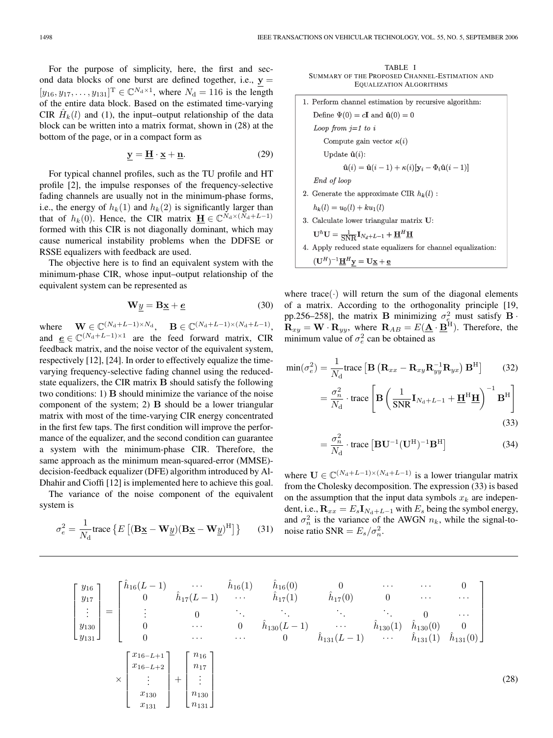For the purpose of simplicity, here, the first and second data blocks of one burst are defined together, i.e.,  $y =$  $[y_{16}, y_{17}, \dots, y_{131}]^{\text{T}} \in \mathbb{C}^{N_d \times 1}$ , where  $N_d = 116$  is the length of the entire data block. Based on the estimated time-varying CIR  $\hat{H}_k(l)$  and (1), the input–output relationship of the data block can be written into a matrix format, shown in (28) at the bottom of the page, or in a compact form as

$$
y = \underline{H} \cdot \underline{x} + \underline{n}.\tag{29}
$$

For typical channel profiles, such as the TU profile and HT profile [2], the impulse responses of the frequency-selective fading channels are usually not in the minimum-phase forms, i.e., the energy of  $h_k(1)$  and  $h_k(2)$  is significantly larger than that of  $h_k(0)$ . Hence, the CIR matrix **H**  $\in \mathbb{C}^{N_d \times (N_d + L - 1)}$ formed with this CIR is not diagonally dominant, which may cause numerical instability problems when the DDFSE or RSSE equalizers with feedback are used.

The objective here is to find an equivalent system with the minimum-phase CIR, whose input–output relationship of the equivalent system can be represented as

$$
\mathbf{W}y = \mathbf{B}\underline{\mathbf{x}} + \underline{\mathbf{e}} \tag{30}
$$

where  $\mathbf{W} \in \mathbb{C}^{(N_{\rm d}+L-1)\times N_{\rm d}}, \quad \mathbf{B} \in \mathbb{C}^{(N_{\rm d}+L-1)\times (N_{\rm d}+L-1)},$ and  $\underline{e} \in \mathbb{C}^{(N_d+L-1)\times 1}$  are the feed forward matrix, CIR feedback matrix, and the noise vector of the equivalent system, respectively [12], [24]. In order to effectively equalize the timevarying frequency-selective fading channel using the reducedstate equalizers, the CIR matrix **B** should satisfy the following two conditions: 1) **B** should minimize the variance of the noise component of the system; 2) **B** should be a lower triangular matrix with most of the time-varying CIR energy concentrated in the first few taps. The first condition will improve the performance of the equalizer, and the second condition can guarantee a system with the minimum-phase CIR. Therefore, the same approach as the minimum mean-squared-error (MMSE) decision-feedback equalizer (DFE) algorithm introduced by Al-Dhahir and Cioffi [12] is implemented here to achieve this goal.

The variance of the noise component of the equivalent system is

$$
\sigma_e^2 = \frac{1}{N_d} \text{trace} \left\{ E \left[ (\mathbf{B} \underline{\mathbf{x}} - \mathbf{W} \underline{y}) (\mathbf{B} \underline{\mathbf{x}} - \mathbf{W} \underline{y})^H \right] \right\} \tag{31}
$$

TABLE I SUMMARY OF THE PROPOSED CHANNEL-ESTIMATION AND EQUALIZATION ALGORITHMS

| 1. Perform channel estimation by recursive algorithm:                                                               |  |  |  |  |  |
|---------------------------------------------------------------------------------------------------------------------|--|--|--|--|--|
| Define $\Psi(0) = cI$ and $\hat{u}(0) = 0$                                                                          |  |  |  |  |  |
| Loop from $j=1$ to i                                                                                                |  |  |  |  |  |
| Compute gain vector $\kappa(i)$                                                                                     |  |  |  |  |  |
| Update $\hat{\mathbf{u}}(i)$ :                                                                                      |  |  |  |  |  |
| $\hat{\mathbf{u}}(i) = \hat{\mathbf{u}}(i-1) + \kappa(i)[\mathbf{y}_i - \Phi_i \hat{\mathbf{u}}(i-1)]$              |  |  |  |  |  |
| End of loop                                                                                                         |  |  |  |  |  |
| 2. Generate the approximate CIR $h_k(l)$ :                                                                          |  |  |  |  |  |
| $h_k(l) = u_0(l) + k u_1(l)$                                                                                        |  |  |  |  |  |
| 3. Calculate lower triangular matrix U:                                                                             |  |  |  |  |  |
| $\mathbf{U}^h \mathbf{U} = \frac{1}{\text{SNR}} \mathbf{I}_{N_d+L-1} + \mathbf{H}^H \mathbf{H}$                     |  |  |  |  |  |
| 4. Apply reduced state equalizers for channel equalization:                                                         |  |  |  |  |  |
| $(\mathbf{U}^H)^{-1}\underline{\mathbf{H}}^H\mathbf{y} = \mathbf{U}\underline{\mathbf{x}} + \underline{\mathbf{e}}$ |  |  |  |  |  |

where trace( $\cdot$ ) will return the sum of the diagonal elements of a matrix. According to the orthogonality principle [19, pp.256–258], the matrix **B** minimizing  $\sigma_{e_r}^2$  must satisfy **B**  $\mathbf{R}_{xy} = \mathbf{W} \cdot \mathbf{R}_{yy}$ , where  $\mathbf{R}_{AB} = E(\mathbf{\underline{A}} \cdot \mathbf{\underline{B}}^{\text{H}})$ . Therefore, the minimum value of  $\sigma_e^2$  can be obtained as

$$
\min(\sigma_e^2) = \frac{1}{N_d} \text{trace} \left[ \mathbf{B} \left( \mathbf{R}_{xx} - \mathbf{R}_{xy} \mathbf{R}_{yy}^{-1} \mathbf{R}_{yx} \right) \mathbf{B}^{\text{H}} \right] \tag{32}
$$
\n
$$
= \frac{\sigma_n^2}{N_d} \cdot \text{trace} \left[ \mathbf{B} \left( \frac{1}{\text{SNR}} \mathbf{I}_{N_d + L - 1} + \underline{\mathbf{H}}^{\text{H}} \underline{\mathbf{H}} \right)^{-1} \mathbf{B}^{\text{H}} \right] \tag{33}
$$

$$
= \frac{\sigma_n^2}{N_{\rm d}} \cdot \text{trace} \left[ \mathbf{B} \mathbf{U}^{-1} (\mathbf{U}^{\rm H})^{-1} \mathbf{B}^{\rm H} \right]
$$
 (34)

(28)

where  $U \in \mathbb{C}^{(N_d+L-1)\times(N_d+L-1)}$  is a lower triangular matrix from the Cholesky decomposition. The expression (33) is based on the assumption that the input data symbols  $x_k$  are independent, i.e.,  $\mathbf{R}_{xx} = E_s \mathbf{I}_{N_d+L-1}$  with  $E_s$  being the symbol energy, and  $\sigma_n^2$  is the variance of the AWGN  $n_k$ , while the signal-tonoise ratio SNR =  $E_s/\sigma_n^2$ .

$$
\begin{bmatrix} y_{16} \\ y_{17} \\ \vdots \\ y_{130} \\ y_{131} \end{bmatrix} = \begin{bmatrix} \hat{h}_{16}(L-1) & \cdots & \hat{h}_{16}(1) & \hat{h}_{16}(0) & 0 & \cdots & \cdots & 0 \\ 0 & \hat{h}_{17}(L-1) & \cdots & \hat{h}_{17}(1) & \hat{h}_{17}(0) & 0 & \cdots & \cdots \\ \vdots & 0 & \ddots & \ddots & \ddots & 0 & \cdots \\ 0 & \cdots & 0 & \hat{h}_{130}(L-1) & \cdots & \hat{h}_{130}(1) & \hat{h}_{130}(0) & 0 \\ 0 & \cdots & \cdots & 0 & \hat{h}_{131}(L-1) & \cdots & \hat{h}_{131}(1) & \hat{h}_{131}(0) \end{bmatrix}
$$

$$
\times \begin{bmatrix} x_{16-L+1} \\ x_{16-L+2} \\ \vdots \\ x_{130} \\ x_{131} \end{bmatrix} + \begin{bmatrix} n_{16} \\ n_{17} \\ \vdots \\ n_{130} \\ n_{131} \end{bmatrix}
$$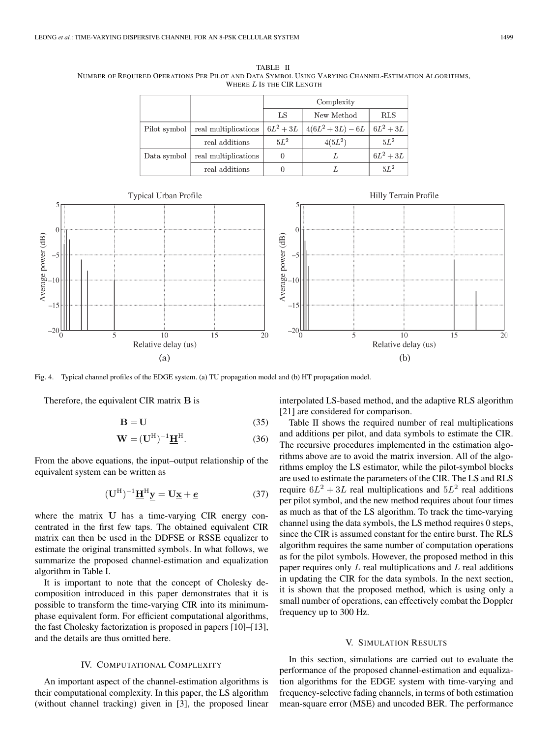TABLE II NUMBER OF REQUIRED OPERATIONS PER PILOT AND DATA SYMBOL USING VARYING CHANNEL-ESTIMATION ALGORITHMS, WHERE *L* IS THE CIR LENGTH

|              |                      | Complexity |                          |             |  |  |
|--------------|----------------------|------------|--------------------------|-------------|--|--|
|              |                      | LS         | New Method               | <b>RLS</b>  |  |  |
| Pilot symbol | real multiplications | $6L^2+3L$  | $ 4(6L^2+3L)-6L 6L^2+3L$ |             |  |  |
|              | real additions       | $5L^2$     | $4(5L^2)$                | $5L^2$      |  |  |
| Data symbol  | real multiplications |            |                          | $6L^2 + 3L$ |  |  |
|              | real additions       |            |                          | $5L^2$      |  |  |



Fig. 4. Typical channel profiles of the EDGE system. (a) TU propagation model and (b) HT propagation model.

Therefore, the equivalent CIR matrix **B** is

$$
B = U \tag{35}
$$

$$
\mathbf{W} = (\mathbf{U}^{\mathrm{H}})^{-1} \underline{\mathbf{H}}^{\mathrm{H}}.
$$
 (36)

From the above equations, the input–output relationship of the equivalent system can be written as

$$
(\mathbf{U}^{\mathrm{H}})^{-1}\underline{\mathbf{H}}^{\mathrm{H}}\underline{\mathbf{y}} = \mathbf{U}\underline{\mathbf{x}} + \underline{\mathbf{e}} \tag{37}
$$

where the matrix **U** has a time-varying CIR energy concentrated in the first few taps. The obtained equivalent CIR matrix can then be used in the DDFSE or RSSE equalizer to estimate the original transmitted symbols. In what follows, we summarize the proposed channel-estimation and equalization algorithm in Table I.

It is important to note that the concept of Cholesky decomposition introduced in this paper demonstrates that it is possible to transform the time-varying CIR into its minimumphase equivalent form. For efficient computational algorithms, the fast Cholesky factorization is proposed in papers [10]–[13], and the details are thus omitted here.

#### IV. COMPUTATIONAL COMPLEXITY

An important aspect of the channel-estimation algorithms is their computational complexity. In this paper, the LS algorithm (without channel tracking) given in [3], the proposed linear

interpolated LS-based method, and the adaptive RLS algorithm [21] are considered for comparison.

Table II shows the required number of real multiplications and additions per pilot, and data symbols to estimate the CIR. The recursive procedures implemented in the estimation algorithms above are to avoid the matrix inversion. All of the algorithms employ the LS estimator, while the pilot-symbol blocks are used to estimate the parameters of the CIR. The LS and RLS require  $6L^2 + 3L$  real multiplications and  $5L^2$  real additions per pilot symbol, and the new method requires about four times as much as that of the LS algorithm. To track the time-varying channel using the data symbols, the LS method requires 0 steps, since the CIR is assumed constant for the entire burst. The RLS algorithm requires the same number of computation operations as for the pilot symbols. However, the proposed method in this paper requires only  $L$  real multiplications and  $L$  real additions in updating the CIR for the data symbols. In the next section, it is shown that the proposed method, which is using only a small number of operations, can effectively combat the Doppler frequency up to 300 Hz.

#### V. SIMULATION RESULTS

In this section, simulations are carried out to evaluate the performance of the proposed channel-estimation and equalization algorithms for the EDGE system with time-varying and frequency-selective fading channels, in terms of both estimation mean-square error (MSE) and uncoded BER. The performance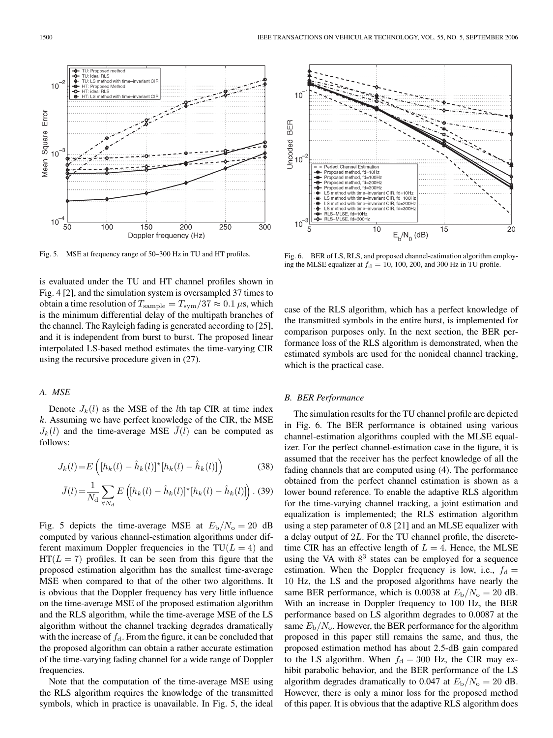Proposed method, fd=10Hz<br>Proposed method, fd=10Hz<br>Proposed method, fd=200Hz<br>Proposed method, fd=300Hz

The peeds invarias; ra≔econ.⊵<br>TS method with time–invariant CIB, fd≡10Hz LS method with time-invariant CIR, fd=100Hz<br>LS method with time-invariant CIR, fd=200Hz LS method with time-invariant CIR, fd=300Hz<br>RLS-MLSE, fd=10Hz<br>RLS-MLSE, fd=10Hz<br>RLS-MLSE, fd=300Hz

 $10$ 

Fig. 5. MSE at frequency range of 50–300 Hz in TU and HT profiles.

is evaluated under the TU and HT channel profiles shown in Fig. 4 [2], and the simulation system is oversampled 37 times to obtain a time resolution of  $T_{\text{sample}} = T_{\text{sym}}/37 \approx 0.1 \,\mu\text{s}$ , which is the minimum differential delay of the multipath branches of the channel. The Rayleigh fading is generated according to [25], and it is independent from burst to burst. The proposed linear interpolated LS-based method estimates the time-varying CIR using the recursive procedure given in (27).

#### *A. MSE*

Denote  $J_k(l)$  as the MSE of the lth tap CIR at time index  $k$ . Assuming we have perfect knowledge of the CIR, the MSE  $J_k(l)$  and the time-average MSE  $\bar{J}(l)$  can be computed as follows:

$$
J_k(l) = E\left( [h_k(l) - \hat{h}_k(l)]^* [h_k(l) - \hat{h}_k(l)] \right)
$$
 (38)

$$
\bar{J}(l) = \frac{1}{N_{\rm d}} \sum_{\forall N_{\rm d}} E\left( [h_k(l) - \hat{h}_k(l)]^* [h_k(l) - \hat{h}_k(l)] \right). (39)
$$

Fig. 5 depicts the time-average MSE at  $E_{\rm b}/N_{\rm o}=20$  dB computed by various channel-estimation algorithms under different maximum Doppler frequencies in the  $TU(L = 4)$  and  $HT(L = 7)$  profiles. It can be seen from this figure that the proposed estimation algorithm has the smallest time-average MSE when compared to that of the other two algorithms. It is obvious that the Doppler frequency has very little influence on the time-average MSE of the proposed estimation algorithm and the RLS algorithm, while the time-average MSE of the LS algorithm without the channel tracking degrades dramatically with the increase of  $f_d$ . From the figure, it can be concluded that the proposed algorithm can obtain a rather accurate estimation of the time-varying fading channel for a wide range of Doppler frequencies.

Note that the computation of the time-average MSE using the RLS algorithm requires the knowledge of the transmitted symbols, which in practice is unavailable. In Fig. 5, the ideal



 $E_b/N_0$  (dB)

 $\overline{15}$ 

 $\overline{2}0$ 

case of the RLS algorithm, which has a perfect knowledge of the transmitted symbols in the entire burst, is implemented for comparison purposes only. In the next section, the BER performance loss of the RLS algorithm is demonstrated, when the estimated symbols are used for the nonideal channel tracking, which is the practical case.

#### *B. BER Performance*

 $10$ 

 $10$ 

 $\overline{5}$ 

The simulation results for the TU channel profile are depicted in Fig. 6. The BER performance is obtained using various channel-estimation algorithms coupled with the MLSE equalizer. For the perfect channel-estimation case in the figure, it is assumed that the receiver has the perfect knowledge of all the fading channels that are computed using (4). The performance obtained from the perfect channel estimation is shown as a lower bound reference. To enable the adaptive RLS algorithm for the time-varying channel tracking, a joint estimation and equalization is implemented; the RLS estimation algorithm using a step parameter of 0.8 [21] and an MLSE equalizer with a delay output of 2L. For the TU channel profile, the discretetime CIR has an effective length of  $L = 4$ . Hence, the MLSE using the VA with  $8<sup>3</sup>$  states can be employed for a sequence estimation. When the Doppler frequency is low, i.e.,  $f_d =$ 10 Hz, the LS and the proposed algorithms have nearly the same BER performance, which is 0.0038 at  $E_{\rm b}/N_{\rm o}=20$  dB. With an increase in Doppler frequency to 100 Hz, the BER performance based on LS algorithm degrades to 0.0087 at the same  $E_{\rm b}/N_{\rm o}$ . However, the BER performance for the algorithm proposed in this paper still remains the same, and thus, the proposed estimation method has about 2.5-dB gain compared to the LS algorithm. When  $f_d = 300$  Hz, the CIR may exhibit parabolic behavior, and the BER performance of the LS algorithm degrades dramatically to 0.047 at  $E_{\rm b}/N_{\rm o}=20$  dB. However, there is only a minor loss for the proposed method of this paper. It is obvious that the adaptive RLS algorithm does

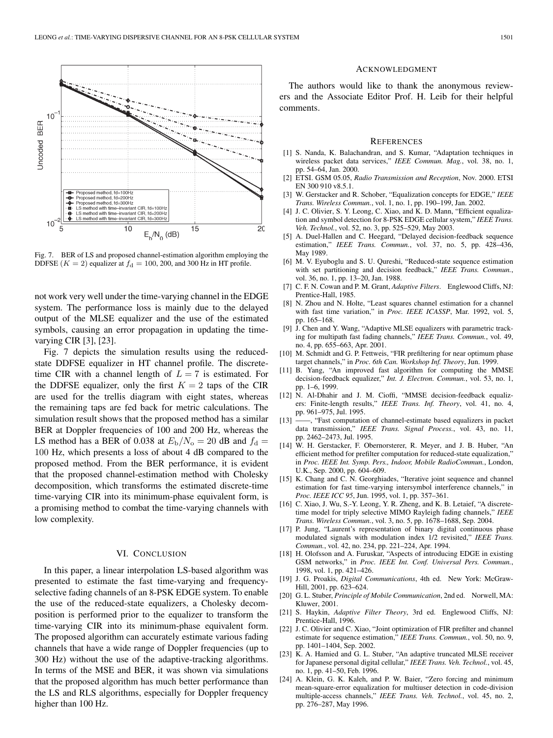

Fig. 7. BER of LS and proposed channel-estimation algorithm employing the DDFSE  $(K = 2)$  equalizer at  $f<sub>d</sub> = 100, 200$ , and 300 Hz in HT profile.

not work very well under the time-varying channel in the EDGE system. The performance loss is mainly due to the delayed output of the MLSE equalizer and the use of the estimated symbols, causing an error propagation in updating the timevarying CIR [3], [23].

Fig. 7 depicts the simulation results using the reducedstate DDFSE equalizer in HT channel profile. The discretetime CIR with a channel length of  $L = 7$  is estimated. For the DDFSE equalizer, only the first  $K = 2$  taps of the CIR are used for the trellis diagram with eight states, whereas the remaining taps are fed back for metric calculations. The simulation result shows that the proposed method has a similar BER at Doppler frequencies of 100 and 200 Hz, whereas the LS method has a BER of 0.038 at  $E_b/N_o = 20$  dB and  $f_d =$ 100 Hz, which presents a loss of about 4 dB compared to the proposed method. From the BER performance, it is evident that the proposed channel-estimation method with Cholesky decomposition, which transforms the estimated discrete-time time-varying CIR into its minimum-phase equivalent form, is a promising method to combat the time-varying channels with low complexity.

#### VI. CONCLUSION

In this paper, a linear interpolation LS-based algorithm was presented to estimate the fast time-varying and frequencyselective fading channels of an 8-PSK EDGE system. To enable the use of the reduced-state equalizers, a Cholesky decomposition is performed prior to the equalizer to transform the time-varying CIR into its minimum-phase equivalent form. The proposed algorithm can accurately estimate various fading channels that have a wide range of Doppler frequencies (up to 300 Hz) without the use of the adaptive-tracking algorithms. In terms of the MSE and BER, it was shown via simulations that the proposed algorithm has much better performance than the LS and RLS algorithms, especially for Doppler frequency higher than 100 Hz.

#### ACKNOWLEDGMENT

The authors would like to thank the anonymous reviewers and the Associate Editor Prof. H. Leib for their helpful comments.

#### **REFERENCES**

- [1] S. Nanda, K. Balachandran, and S. Kumar, "Adaptation techniques in wireless packet data services," *IEEE Commun. Mag.*, vol. 38, no. 1, pp. 54–64, Jan. 2000.
- [2] ETSI. GSM 05.05, *Radio Transmission and Reception*, Nov. 2000. ETSI EN 300 910 v8.5.1.
- [3] W. Gerstacker and R. Schober, "Equalization concepts for EDGE," *IEEE Trans. Wireless Commun.*, vol. 1, no. 1, pp. 190–199, Jan. 2002.
- [4] J. C. Olivier, S. Y. Leong, C. Xiao, and K. D. Mann, "Efficient equalization and symbol detection for 8-PSK EDGE cellular system," *IEEE Trans. Veh. Technol.*, vol. 52, no. 3, pp. 525–529, May 2003.
- [5] A. Duel-Hallen and C. Heegard, "Delayed decision-feedback sequence estimation," *IEEE Trans. Commun.*, vol. 37, no. 5, pp. 428–436, May 1989.
- [6] M. V. Eyuboglu and S. U. Qureshi, "Reduced-state sequence estimation with set partitioning and decision feedback," *IEEE Trans. Commun.*, vol. 36, no. 1, pp. 13–20, Jan. 1988.
- [7] C. F. N. Cowan and P. M. Grant, *Adaptive Filters*. Englewood Cliffs, NJ: Prentice-Hall, 1985.
- [8] N. Zhou and N. Holte, "Least squares channel estimation for a channel with fast time variation," in *Proc. IEEE ICASSP*, Mar. 1992, vol. 5, pp. 165–168.
- [9] J. Chen and Y. Wang, "Adaptive MLSE equalizers with parametric tracking for multipath fast fading channels," *IEEE Trans. Commun.*, vol. 49, no. 4, pp. 655–663, Apr. 2001.
- [10] M. Schmidt and G. P. Fettweis, "FIR prefiltering for near optimum phase target channels," in *Proc. 6th Can. Workshop Inf. Theory*, Jun. 1999.
- [11] B. Yang, "An improved fast algorithm for computing the MMSE decision-feedback equalizer," *Int. J. Electron. Commun.*, vol. 53, no. 1, pp. 1–6, 1999.
- [12] N. Al-Dhahir and J. M. Cioffi, "MMSE decision-feedback equalizers: Finite-length results," *IEEE Trans. Inf. Theory*, vol. 41, no. 4, pp. 961–975, Jul. 1995.
- [13] ——, "Fast computation of channel-estimate based equalizers in packet data transmission," *IEEE Trans. Signal Process.*, vol. 43, no. 11, pp. 2462–2473, Jul. 1995.
- [14] W. H. Gerstacker, F. Obernorsterer, R. Meyer, and J. B. Huber, "An efficient method for prefilter computation for reduced-state equalization," in *Proc. IEEE Int. Symp. Pers., Indoor, Mobile RadioCommun.*, London, U.K., Sep. 2000, pp. 604–609.
- [15] K. Chang and C. N. Georghiades, "Iterative joint sequence and channel estimation for fast time-varying intersymbol interference channels," in *Proc. IEEE ICC 95*, Jun. 1995, vol. 1, pp. 357–361.
- [16] C. Xiao, J. Wu, S.-Y. Leong, Y. R. Zheng, and K. B. Letaief, "A discretetime model for triply selective MIMO Rayleigh fading channels," *IEEE Trans. Wireless Commun.*, vol. 3, no. 5, pp. 1678–1688, Sep. 2004.
- [17] P. Jung, "Laurent's representation of binary digital continuous phase modulated signals with modulation index 1/2 revisited," *IEEE Trans. Commun.*, vol. 42, no. 234, pp. 221–224, Apr. 1994.
- [18] H. Olofsson and A. Furuskar, "Aspects of introducing EDGE in existing GSM networks," in *Proc. IEEE Int. Conf. Universal Pers. Commun.*, 1998, vol. 1, pp. 421–426.
- [19] J. G. Proakis, *Digital Communications*, 4th ed. New York: McGraw-Hill, 2001, pp. 623–624.
- [20] G. L. Stuber, *Principle of Mobile Communication*, 2nd ed. Norwell, MA: Kluwer, 2001.
- [21] S. Haykin, *Adaptive Filter Theory*, 3rd ed. Englewood Cliffs, NJ: Prentice-Hall, 1996.
- [22] J. C. Olivier and C. Xiao, "Joint optimization of FIR prefilter and channel estimate for sequence estimation," *IEEE Trans. Commun.*, vol. 50, no. 9, pp. 1401–1404, Sep. 2002.
- [23] K. A. Hamied and G. L. Stuber, "An adaptive truncated MLSE receiver for Japanese personal digital cellular," *IEEE Trans. Veh. Technol.*, vol. 45, no. 1, pp. 41–50, Feb. 1996.
- [24] A. Klein, G. K. Kaleh, and P. W. Baier, "Zero forcing and minimum mean-square-error equalization for multiuser detection in code-division multiple-access channels," *IEEE Trans. Veh. Technol.*, vol. 45, no. 2, pp. 276–287, May 1996.